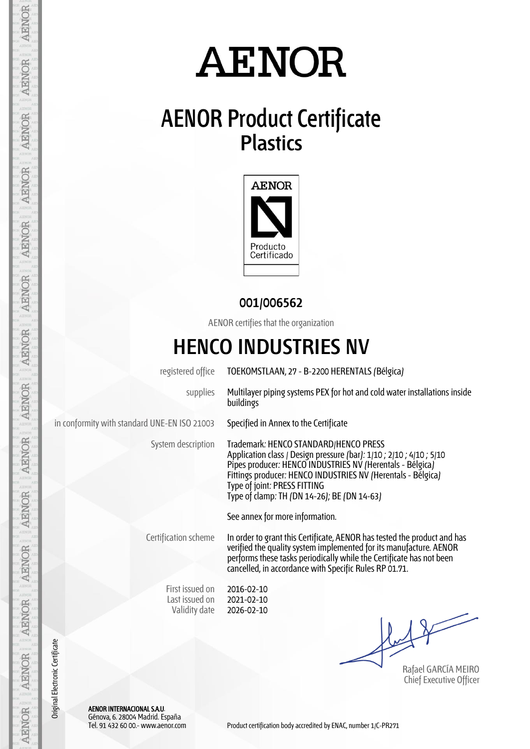## **AENOR Product Certificate Plastics**



#### **001/006562**

AENOR certifies that the organization

### **HENCO INDUSTRIES NV**

registered office TOEKOMSTLAAN, 27 - B-2200 HERENTALS (Bélgica) supplies Multilayer piping systems PEX for hot and cold water installations inside buildings in conformity with standard UNE-EN ISO 21003 Specified in Annex to the Certificate System description Trademark: HENCO STANDARD/HENCO PRESS Application class / Design pressure (bar): 1/10 ; 2/10 ; 4/10 ; 5/10 Pipes producer: HENCO INDUSTRIES NV (Herentals - Bélgica) Fittings producer: HENCO INDUSTRIES NV (Herentals - Bélgica) Type of joint: PRESS FITTING Type of clamp: TH (DN 14-26); BE (DN 14-63) See annex for more information. Certification scheme In order to grant this Certificate, AENOR has tested the product and has verified the quality system implemented for its manufacture. AENOR performs these tasks periodically while the Certificate has not been cancelled, in accordance with Specific Rules RP 01.71. First issued on Last issued on Validity date 2016-02-10 2021-02-10 2026-02-10

Rafael GARCÍA MEIRO Chief Executive Officer

AENOR INTERNACIONAL S.A.U. Génova, 6. 28004 Madrid. España

**AENOR** 

**AENOR** 

**AENOR** 

**AENOR** 

AENOR

**AENOR** 

AENOR

**AENOR** 

AENOR

**AENOR** 

**AENOR** 

**AENOR** 

**AENOR** 

Original Electronic Certificate

Original Electronic Certificate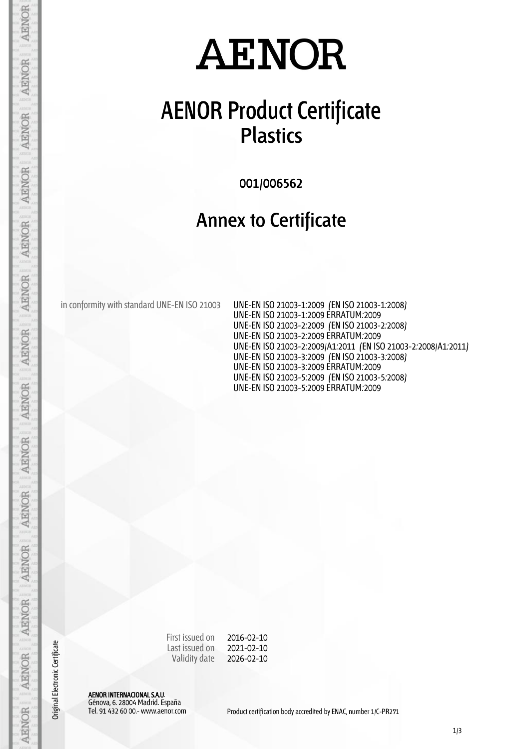## **AENOR Product Certificate Plastics**

**001/006562**

#### **Annex to Certificate**

in conformity with standard UNE-EN ISO 21003 UNE-EN ISO 21003-1:2009 (EN ISO 21003-1:2008)

UNE-EN ISO 21003-1:2009 ERRATUM:2009 UNE-EN ISO 21003-2:2009 (EN ISO 21003-2:2008) UNE-EN ISO 21003-2:2009 ERRATUM:2009 UNE-EN ISO 21003-2:2009/A1:2011 (EN ISO 21003-2:2008/A1:2011) UNE-EN ISO 21003-3:2009 (EN ISO 21003-3:2008) UNE-EN ISO 21003-3:2009 ERRATUM:2009 UNE-EN ISO 21003-5:2009 (EN ISO 21003-5:2008) UNE-EN ISO 21003-5:2009 ERRATUM:2009

First issued on Last issued on Validity date 2016-02-10 2021-02-10 2026-02-10

AENOR INTERNACIONAL S.A.U. Génova, 6. 28004 Madrid. España

Original Electronic Certificate

AENOR

**AENOR** 

**AENOR** 

**AENOR** 

**AENOR** 

**AENOR** 

**AENOR** 

**AENOR** 

**AENOR** 

AENOR

**AENOR** 

**AENOR** 

**AENOR** 

AENOR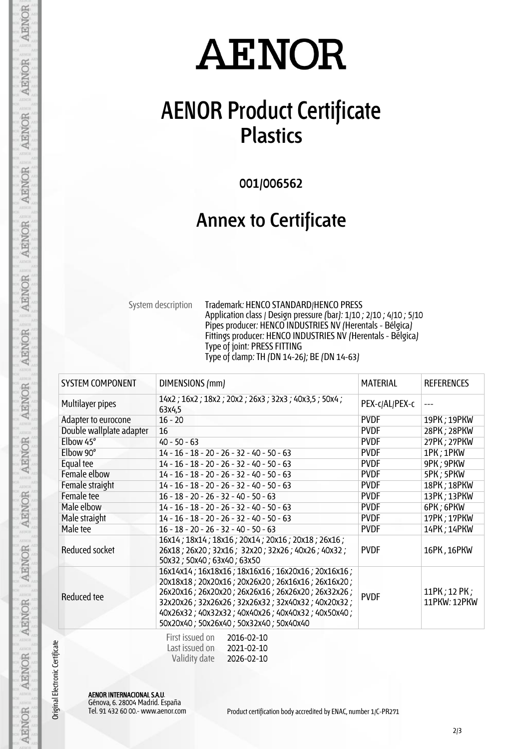### **AENOR Product Certificate Plastics**

**001/006562**

#### **Annex to Certificate**

System description Trademark: HENCO STANDARD/HENCO PRESS Application class / Design pressure (bar): 1/10 ; 2/10 ; 4/10 ; 5/10 Pipes producer: HENCO INDUSTRIES NV (Herentals - Bélgica) Fittings producer: HENCO INDUSTRIES NV (Herentals - Bélgica) Type of joint: PRESS FITTING Type of clamp: TH (DN 14-26); BE (DN 14-63)

| <b>SYSTEM COMPONENT</b>  | DIMENSIONS (mm)                                                                                                                                                                                                                                                                                                 | <b>MATERIAL</b> | <b>REFERENCES</b>            |
|--------------------------|-----------------------------------------------------------------------------------------------------------------------------------------------------------------------------------------------------------------------------------------------------------------------------------------------------------------|-----------------|------------------------------|
| Multilayer pipes         | 14x2; 16x2; 18x2; 20x2; 26x3; 32x3; 40x3,5; 50x4;<br>63x4,5                                                                                                                                                                                                                                                     | PEX-c/AL/PEX-c  |                              |
| Adapter to eurocone      | $16 - 20$                                                                                                                                                                                                                                                                                                       | <b>PVDF</b>     | 19PK; 19PKW                  |
| Double wallplate adapter | 16                                                                                                                                                                                                                                                                                                              | <b>PVDF</b>     | 28PK; 28PKW                  |
| Elbow 45°                | $40 - 50 - 63$                                                                                                                                                                                                                                                                                                  | <b>PVDF</b>     | 27PK; 27PKW                  |
| Elbow 90°                | $14 - 16 - 18 - 20 - 26 - 32 - 40 - 50 - 63$                                                                                                                                                                                                                                                                    | <b>PVDF</b>     | 1PK; 1PKW                    |
| Equal tee                | $14 - 16 - 18 - 20 - 26 - 32 - 40 - 50 - 63$                                                                                                                                                                                                                                                                    | <b>PVDF</b>     | 9PK; 9PKW                    |
| Female elbow             | $14 - 16 - 18 - 20 - 26 - 32 - 40 - 50 - 63$                                                                                                                                                                                                                                                                    | <b>PVDF</b>     | 5PK; 5PKW                    |
| Female straight          | $14 - 16 - 18 - 20 - 26 - 32 - 40 - 50 - 63$                                                                                                                                                                                                                                                                    | <b>PVDF</b>     | 18PK; 18PKW                  |
| Female tee               | $16 - 18 - 20 - 26 - 32 - 40 - 50 - 63$                                                                                                                                                                                                                                                                         | <b>PVDF</b>     | 13PK; 13PKW                  |
| Male elbow               | $14 - 16 - 18 - 20 - 26 - 32 - 40 - 50 - 63$                                                                                                                                                                                                                                                                    | <b>PVDF</b>     | 6PK; 6PKW                    |
| Male straight            | $14 - 16 - 18 - 20 - 26 - 32 - 40 - 50 - 63$                                                                                                                                                                                                                                                                    | <b>PVDF</b>     | 17PK; 17PKW                  |
| Male tee                 | $16 - 18 - 20 - 26 - 32 - 40 - 50 - 63$                                                                                                                                                                                                                                                                         | <b>PVDF</b>     | 14PK; 14PKW                  |
| Reduced socket           | 16x14; 18x14; 18x16; 20x14; 20x16; 20x18; 26x16;<br>26x18; 26x20; 32x16; 32x20; 32x26; 40x26; 40x32;<br>50x32; 50x40; 63x40; 63x50                                                                                                                                                                              | <b>PVDF</b>     | 16PK, 16PKW                  |
| Reduced tee              | 16x14x14; 16x18x16; 18x16x16; 16x20x16; 20x16x16;<br>20x18x18; 20x20x16; 20x26x20; 26x16x16; 26x16x20;<br>26x20x16; 26x20x20; 26x26x16; 26x26x20; 26x32x26;<br>32x20x26; 32x26x26; 32x26x32; 32x40x32; 40x20x32;<br>40x26x32; 40x32x32; 40x40x26; 40x40x32; 40x50x40;<br>50x20x40; 50x26x40; 50x32x40; 50x40x40 | <b>PVDF</b>     | 11PK; 12 PK;<br>11PKW: 12PKW |
|                          | $\Gamma$ and $\Gamma$ and $\Gamma$ and $\Gamma$                                                                                                                                                                                                                                                                 |                 |                              |

| First issued on | 2016-02-10 |
|-----------------|------------|
| Last issued on  | 2021-02-10 |
| Validity date   | 2026-02-10 |

AENOR INTERNACIONAL S.A.U. Génova, 6. 28004 Madrid. España

Original Electronic Certificate

AENOR

**AENOR** 

AENOR

**AENOR** 

**AENOR** 

**AENOR** 

**AENOR** 

**AENOR** 

**AENOR** 

AENOR

**AENOR** 

**AENOR** 

**AENOR** 

**AENOR**